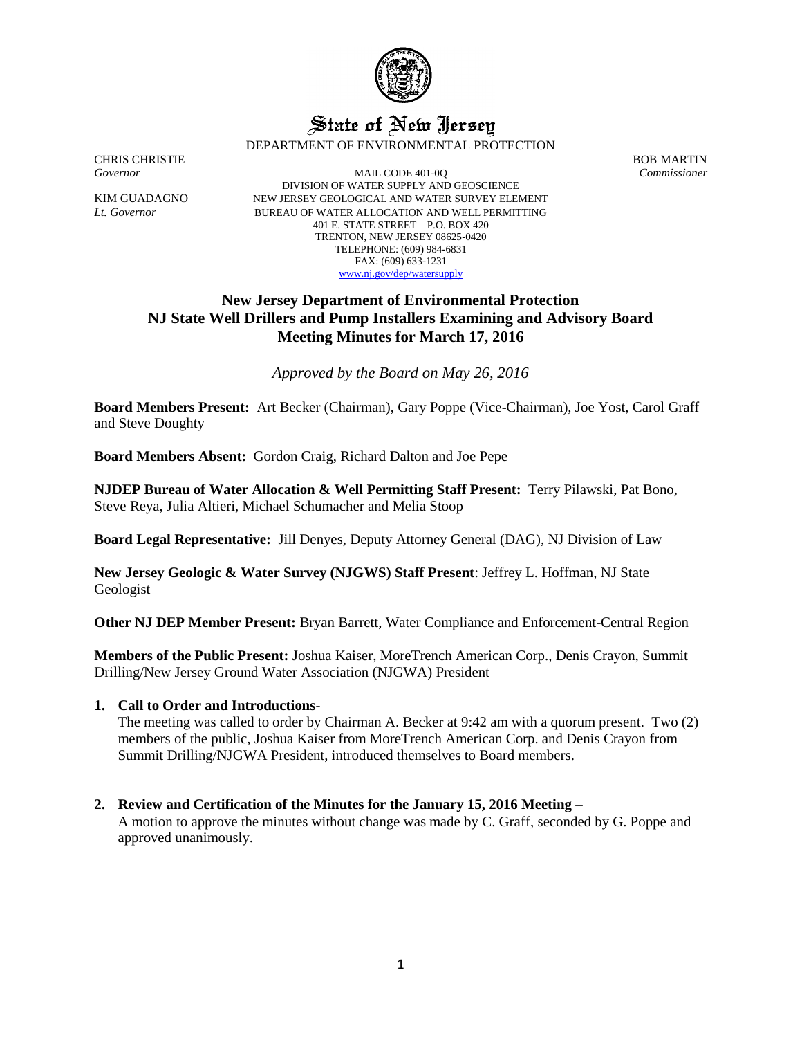

# State of New Jersey DEPARTMENT OF ENVIRONMENTAL PROTECTION

CHRIS CHRISTIE BOB MARTIN

*Governor* MAIL CODE 401-0Q *Commissioner* DIVISION OF WATER SUPPLY AND GEOSCIENCE KIM GUADAGNO NEW JERSEY GEOLOGICAL AND WATER SURVEY ELEMENT *Lt. Governor* BUREAU OF WATER ALLOCATION AND WELL PERMITTING 401 E. STATE STREET – P.O. BOX 420 TRENTON, NEW JERSEY 08625-0420 TELEPHONE: (609) 984-6831 FAX: (609) 633-1231 [www.nj.gov/dep/watersupply](http://www.nj.gov/dep/watersupply)

## **New Jersey Department of Environmental Protection NJ State Well Drillers and Pump Installers Examining and Advisory Board Meeting Minutes for March 17, 2016**

*Approved by the Board on May 26, 2016*

**Board Members Present:** Art Becker (Chairman), Gary Poppe (Vice-Chairman), Joe Yost, Carol Graff and Steve Doughty

**Board Members Absent:** Gordon Craig, Richard Dalton and Joe Pepe

**NJDEP Bureau of Water Allocation & Well Permitting Staff Present:** Terry Pilawski, Pat Bono, Steve Reya, Julia Altieri, Michael Schumacher and Melia Stoop

**Board Legal Representative:** Jill Denyes, Deputy Attorney General (DAG), NJ Division of Law

**New Jersey Geologic & Water Survey (NJGWS) Staff Present**: Jeffrey L. Hoffman, NJ State Geologist

**Other NJ DEP Member Present:** Bryan Barrett, Water Compliance and Enforcement-Central Region

**Members of the Public Present:** Joshua Kaiser, MoreTrench American Corp., Denis Crayon, Summit Drilling/New Jersey Ground Water Association (NJGWA) President

#### **1. Call to Order and Introductions-**

The meeting was called to order by Chairman A. Becker at 9:42 am with a quorum present. Two (2) members of the public, Joshua Kaiser from MoreTrench American Corp. and Denis Crayon from Summit Drilling/NJGWA President, introduced themselves to Board members.

#### **2. Review and Certification of the Minutes for the January 15, 2016 Meeting –**

A motion to approve the minutes without change was made by C. Graff, seconded by G. Poppe and approved unanimously.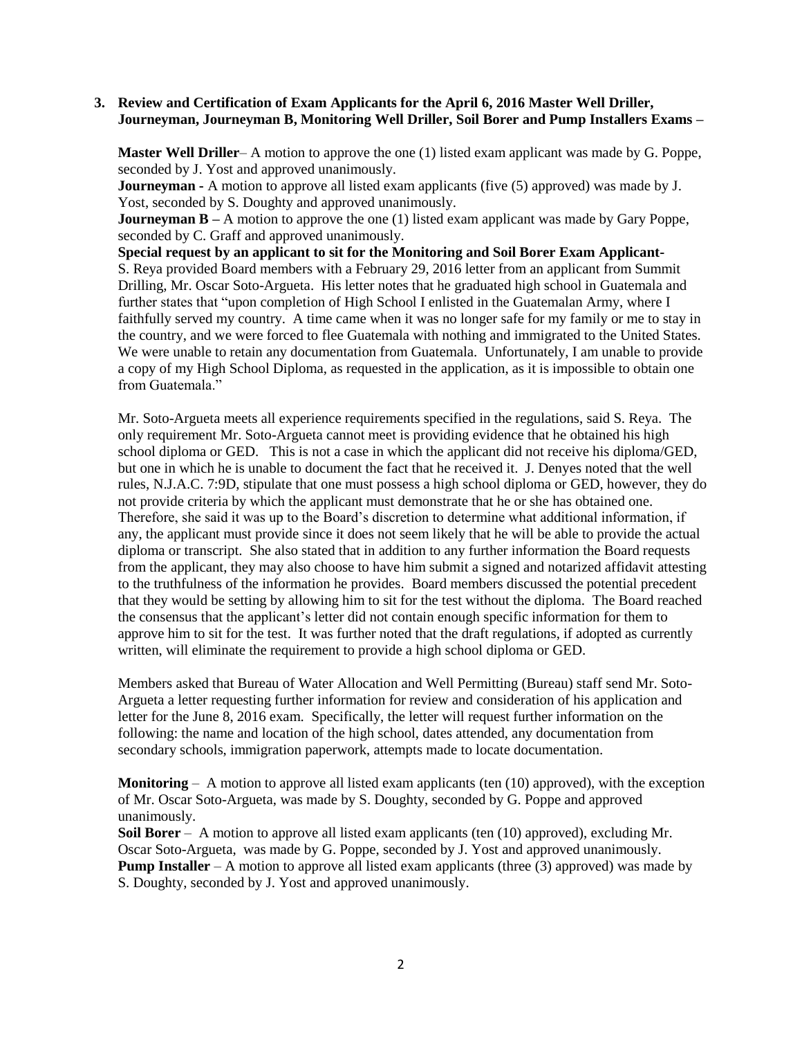### **3. Review and Certification of Exam Applicants for the April 6, 2016 Master Well Driller, Journeyman, Journeyman B, Monitoring Well Driller, Soil Borer and Pump Installers Exams –**

**Master Well Driller**– A motion to approve the one (1) listed exam applicant was made by G. Poppe, seconded by J. Yost and approved unanimously.

**Journeyman -** A motion to approve all listed exam applicants (five (5) approved) was made by J. Yost, seconded by S. Doughty and approved unanimously.

**Journeyman B** – A motion to approve the one (1) listed exam applicant was made by Gary Poppe, seconded by C. Graff and approved unanimously.

**Special request by an applicant to sit for the Monitoring and Soil Borer Exam Applicant-**S. Reya provided Board members with a February 29, 2016 letter from an applicant from Summit Drilling, Mr. Oscar Soto-Argueta. His letter notes that he graduated high school in Guatemala and further states that "upon completion of High School I enlisted in the Guatemalan Army, where I faithfully served my country. A time came when it was no longer safe for my family or me to stay in the country, and we were forced to flee Guatemala with nothing and immigrated to the United States. We were unable to retain any documentation from Guatemala. Unfortunately, I am unable to provide a copy of my High School Diploma, as requested in the application, as it is impossible to obtain one from Guatemala."

Mr. Soto-Argueta meets all experience requirements specified in the regulations, said S. Reya. The only requirement Mr. Soto-Argueta cannot meet is providing evidence that he obtained his high school diploma or GED. This is not a case in which the applicant did not receive his diploma/GED, but one in which he is unable to document the fact that he received it. J. Denyes noted that the well rules, N.J.A.C. 7:9D, stipulate that one must possess a high school diploma or GED, however, they do not provide criteria by which the applicant must demonstrate that he or she has obtained one. Therefore, she said it was up to the Board's discretion to determine what additional information, if any, the applicant must provide since it does not seem likely that he will be able to provide the actual diploma or transcript. She also stated that in addition to any further information the Board requests from the applicant, they may also choose to have him submit a signed and notarized affidavit attesting to the truthfulness of the information he provides. Board members discussed the potential precedent that they would be setting by allowing him to sit for the test without the diploma. The Board reached the consensus that the applicant's letter did not contain enough specific information for them to approve him to sit for the test. It was further noted that the draft regulations, if adopted as currently written, will eliminate the requirement to provide a high school diploma or GED.

Members asked that Bureau of Water Allocation and Well Permitting (Bureau) staff send Mr. Soto-Argueta a letter requesting further information for review and consideration of his application and letter for the June 8, 2016 exam. Specifically, the letter will request further information on the following: the name and location of the high school, dates attended, any documentation from secondary schools, immigration paperwork, attempts made to locate documentation.

**Monitoring**  $-$  A motion to approve all listed exam applicants (ten  $(10)$  approved), with the exception of Mr. Oscar Soto-Argueta, was made by S. Doughty, seconded by G. Poppe and approved unanimously.

**Soil Borer** – A motion to approve all listed exam applicants (ten (10) approved), excluding Mr. Oscar Soto-Argueta, was made by G. Poppe, seconded by J. Yost and approved unanimously. **Pump Installer** – A motion to approve all listed exam applicants (three (3) approved) was made by S. Doughty, seconded by J. Yost and approved unanimously.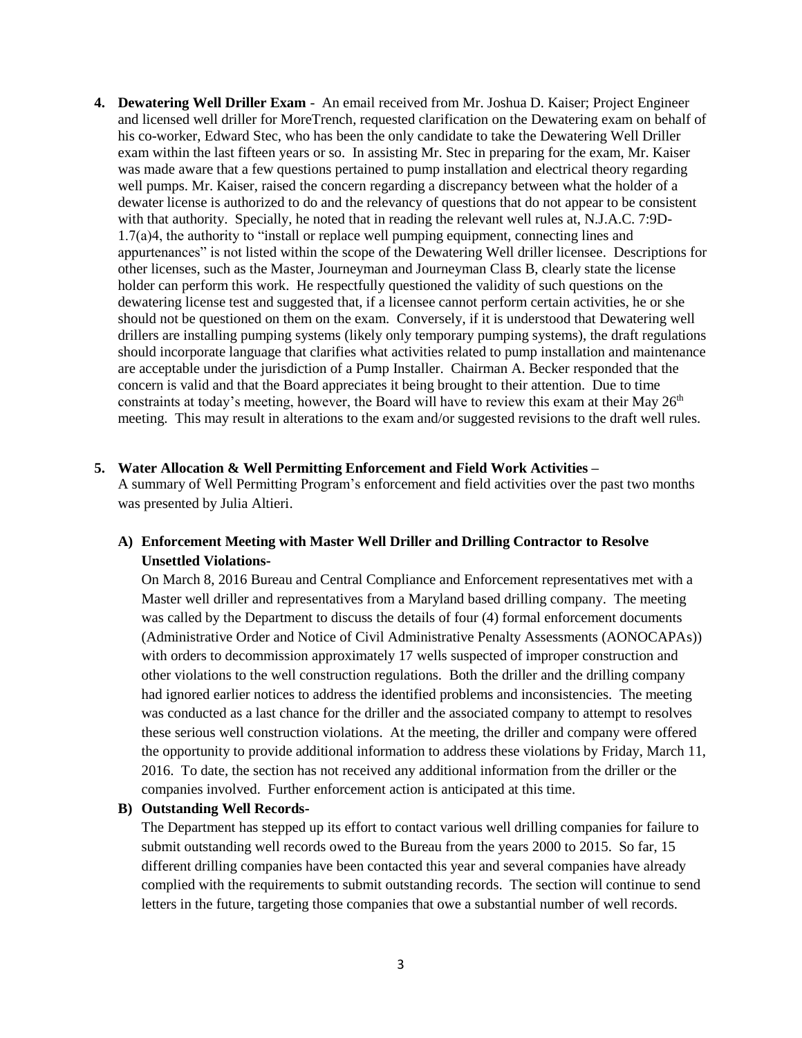**4. Dewatering Well Driller Exam** - An email received from Mr. Joshua D. Kaiser; Project Engineer and licensed well driller for MoreTrench, requested clarification on the Dewatering exam on behalf of his co-worker, Edward Stec, who has been the only candidate to take the Dewatering Well Driller exam within the last fifteen years or so. In assisting Mr. Stec in preparing for the exam, Mr. Kaiser was made aware that a few questions pertained to pump installation and electrical theory regarding well pumps. Mr. Kaiser, raised the concern regarding a discrepancy between what the holder of a dewater license is authorized to do and the relevancy of questions that do not appear to be consistent with that authority. Specially, he noted that in reading the relevant well rules at, N.J.A.C. 7:9D-1.7(a)4, the authority to "install or replace well pumping equipment, connecting lines and appurtenances" is not listed within the scope of the Dewatering Well driller licensee. Descriptions for other licenses, such as the Master, Journeyman and Journeyman Class B, clearly state the license holder can perform this work. He respectfully questioned the validity of such questions on the dewatering license test and suggested that, if a licensee cannot perform certain activities, he or she should not be questioned on them on the exam. Conversely, if it is understood that Dewatering well drillers are installing pumping systems (likely only temporary pumping systems), the draft regulations should incorporate language that clarifies what activities related to pump installation and maintenance are acceptable under the jurisdiction of a Pump Installer. Chairman A. Becker responded that the concern is valid and that the Board appreciates it being brought to their attention. Due to time constraints at today's meeting, however, the Board will have to review this exam at their May  $26<sup>th</sup>$ meeting. This may result in alterations to the exam and/or suggested revisions to the draft well rules.

#### **5. Water Allocation & Well Permitting Enforcement and Field Work Activities –**

A summary of Well Permitting Program's enforcement and field activities over the past two months was presented by Julia Altieri.

## **A) Enforcement Meeting with Master Well Driller and Drilling Contractor to Resolve Unsettled Violations-**

On March 8, 2016 Bureau and Central Compliance and Enforcement representatives met with a Master well driller and representatives from a Maryland based drilling company. The meeting was called by the Department to discuss the details of four (4) formal enforcement documents (Administrative Order and Notice of Civil Administrative Penalty Assessments (AONOCAPAs)) with orders to decommission approximately 17 wells suspected of improper construction and other violations to the well construction regulations. Both the driller and the drilling company had ignored earlier notices to address the identified problems and inconsistencies. The meeting was conducted as a last chance for the driller and the associated company to attempt to resolves these serious well construction violations. At the meeting, the driller and company were offered the opportunity to provide additional information to address these violations by Friday, March 11, 2016. To date, the section has not received any additional information from the driller or the companies involved. Further enforcement action is anticipated at this time.

### **B) Outstanding Well Records-**

The Department has stepped up its effort to contact various well drilling companies for failure to submit outstanding well records owed to the Bureau from the years 2000 to 2015. So far, 15 different drilling companies have been contacted this year and several companies have already complied with the requirements to submit outstanding records. The section will continue to send letters in the future, targeting those companies that owe a substantial number of well records.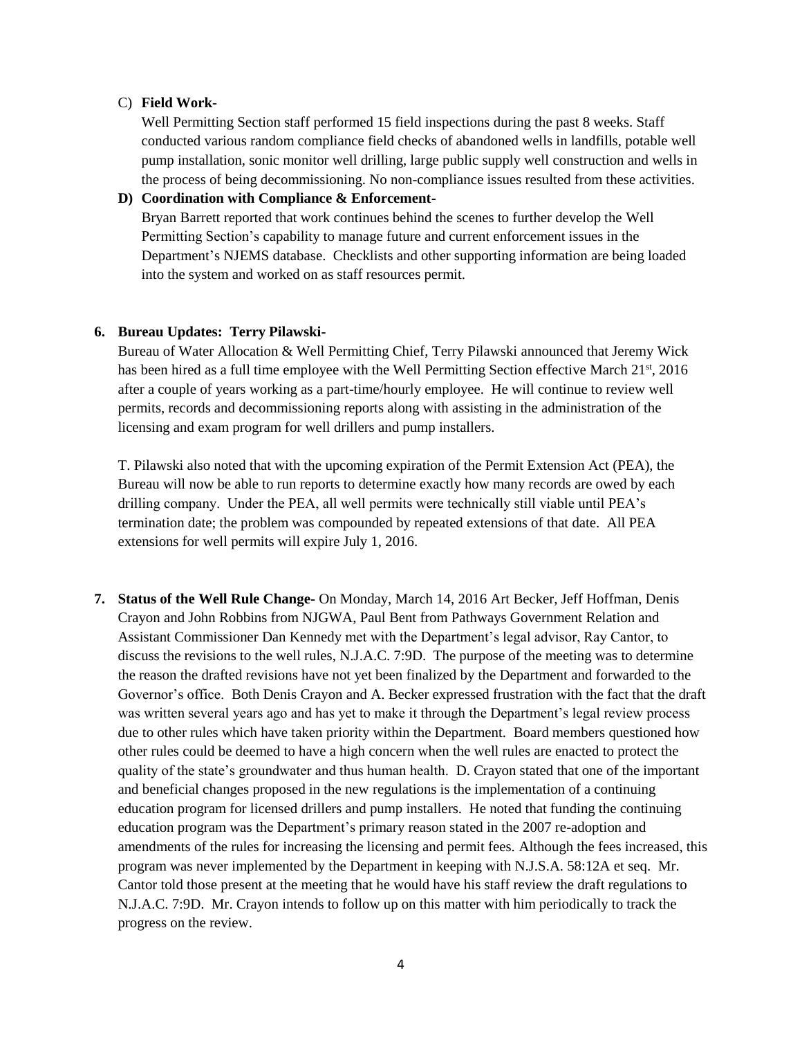#### C) **Field Work-**

Well Permitting Section staff performed 15 field inspections during the past 8 weeks. Staff conducted various random compliance field checks of abandoned wells in landfills, potable well pump installation, sonic monitor well drilling, large public supply well construction and wells in the process of being decommissioning. No non-compliance issues resulted from these activities.

**D) Coordination with Compliance & Enforcement-**Bryan Barrett reported that work continues behind the scenes to further develop the Well Permitting Section's capability to manage future and current enforcement issues in the Department's NJEMS database. Checklists and other supporting information are being loaded into the system and worked on as staff resources permit.

#### **6. Bureau Updates: Terry Pilawski-**

Bureau of Water Allocation & Well Permitting Chief, Terry Pilawski announced that Jeremy Wick has been hired as a full time employee with the Well Permitting Section effective March  $21^{st}$ ,  $2016$ after a couple of years working as a part-time/hourly employee. He will continue to review well permits, records and decommissioning reports along with assisting in the administration of the licensing and exam program for well drillers and pump installers.

T. Pilawski also noted that with the upcoming expiration of the Permit Extension Act (PEA), the Bureau will now be able to run reports to determine exactly how many records are owed by each drilling company. Under the PEA, all well permits were technically still viable until PEA's termination date; the problem was compounded by repeated extensions of that date. All PEA extensions for well permits will expire July 1, 2016.

**7. Status of the Well Rule Change-** On Monday, March 14, 2016 Art Becker, Jeff Hoffman, Denis Crayon and John Robbins from NJGWA, Paul Bent from Pathways Government Relation and Assistant Commissioner Dan Kennedy met with the Department's legal advisor, Ray Cantor, to discuss the revisions to the well rules, N.J.A.C. 7:9D. The purpose of the meeting was to determine the reason the drafted revisions have not yet been finalized by the Department and forwarded to the Governor's office. Both Denis Crayon and A. Becker expressed frustration with the fact that the draft was written several years ago and has yet to make it through the Department's legal review process due to other rules which have taken priority within the Department. Board members questioned how other rules could be deemed to have a high concern when the well rules are enacted to protect the quality of the state's groundwater and thus human health. D. Crayon stated that one of the important and beneficial changes proposed in the new regulations is the implementation of a continuing education program for licensed drillers and pump installers. He noted that funding the continuing education program was the Department's primary reason stated in the 2007 re-adoption and amendments of the rules for increasing the licensing and permit fees. Although the fees increased, this program was never implemented by the Department in keeping with N.J.S.A. 58:12A et seq. Mr. Cantor told those present at the meeting that he would have his staff review the draft regulations to N.J.A.C. 7:9D. Mr. Crayon intends to follow up on this matter with him periodically to track the progress on the review.